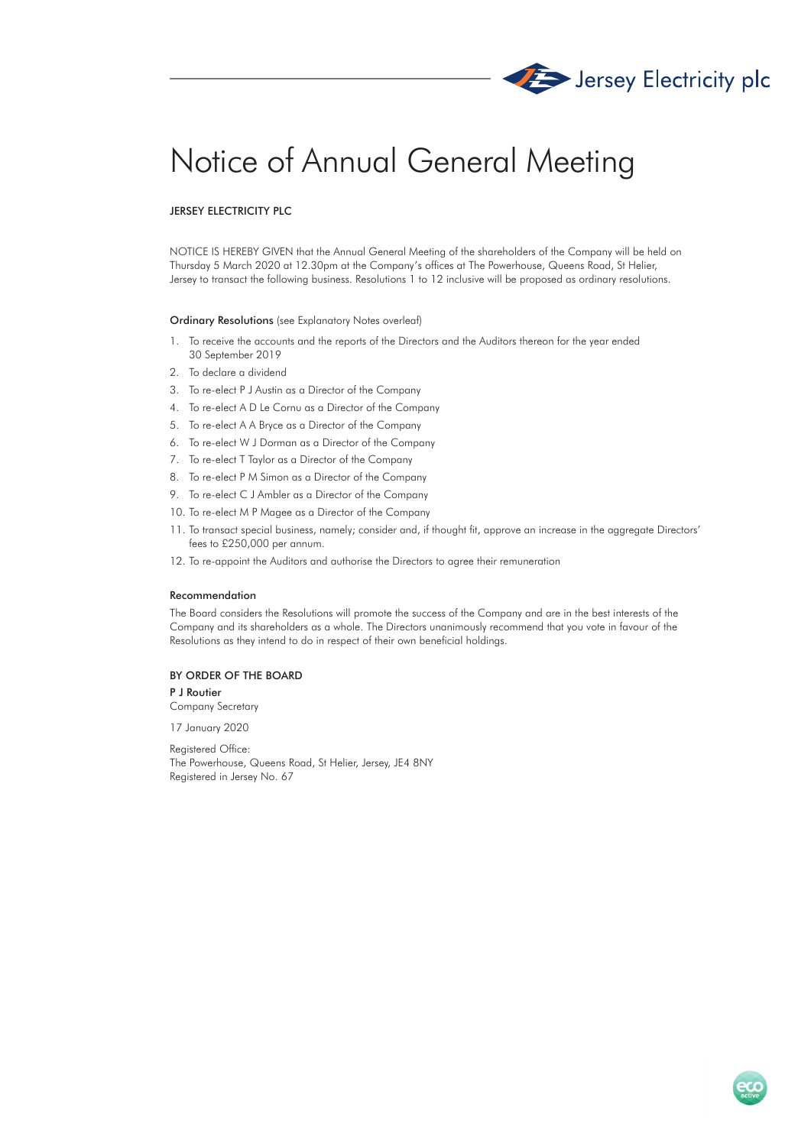

# Notice of Annual General Meeting

# JERSEY ELECTRICITY PLC

NOTICE IS HEREBY GIVEN that the Annual General Meeting of the shareholders of the Company will be held on Thursday 5 March 2020 at 12.30pm at the Company's offices at The Powerhouse, Queens Road, St Helier, Jersey to transact the following business. Resolutions 1 to 12 inclusive will be proposed as ordinary resolutions.

## Ordinary Resolutions (see Explanatory Notes overleaf)

- 1. To receive the accounts and the reports of the Directors and the Auditors thereon for the year ended 30 September 2019
- 2. To declare a dividend
- 3. To re-elect P J Austin as a Director of the Company
- 4. To re-elect A D Le Cornu as a Director of the Company
- 5. To re-elect A A Bryce as a Director of the Company
- 6. To re-elect W J Dorman as a Director of the Company
- 7. To re-elect T Taylor as a Director of the Company
- 8. To re-elect P M Simon as a Director of the Company
- 9. To re-elect C J Ambler as a Director of the Company
- 10. To re-elect M P Magee as a Director of the Company
- 11. To transact special business, namely; consider and, if thought fit, approve an increase in the aggregate Directors' fees to £250,000 per annum.
- 12. To re-appoint the Auditors and authorise the Directors to agree their remuneration

## Recommendation

The Board considers the Resolutions will promote the success of the Company and are in the best interests of the Company and its shareholders as a whole. The Directors unanimously recommend that you vote in favour of the Resolutions as they intend to do in respect of their own beneficial holdings.

## BY ORDER OF THE BOARD

## P J Routier

Company Secretary

17 January 2020

Registered Office: The Powerhouse, Queens Road, St Helier, Jersey, JE4 8NY Registered in Jersey No. 67